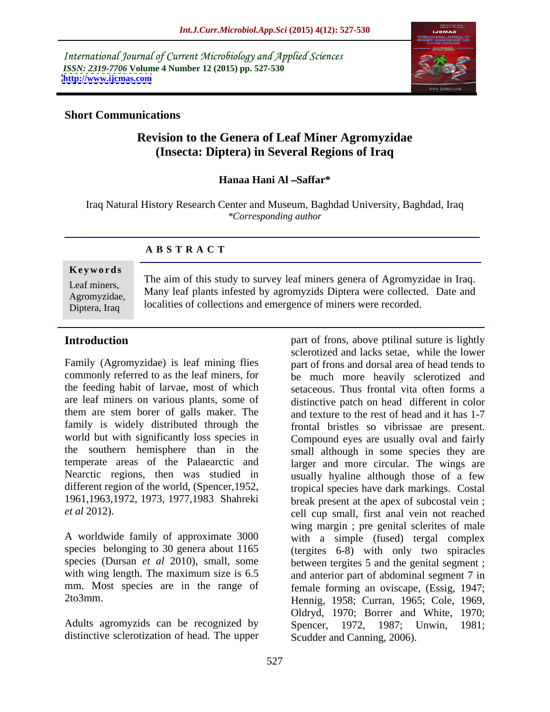International Journal of Current Microbiology and Applied Sciences *ISSN: 2319-7706* **Volume 4 Number 12 (2015) pp. 527-530 <http://www.ijcmas.com>**



#### **Short Communications**

# **Revision to the Genera of Leaf Miner Agromyzidae (Insecta: Diptera) in Several Regions of Iraq**

### **Hanaa Hani Al Saffar\***

Iraq Natural History Research Center and Museum, Baghdad University, Baghdad, Iraq *\*Corresponding author*

### **A B S T R A C T**

#### **Ke ywo rds**

Diptera, Iraq

The aim of this study to survey leaf miners genera of Agromyzidae in Iraq. Leaf miners,<br>Agromyzidae Many leaf plants infested by agromyzids Diptera were collected. Date and localities of collections and emergence of miners were recorded. Agromyzidae, Many iear plants intested by agromyzius Diptera were conected. Date and

the feeding habit of larvae, most of which family is widely distributed through the world but with significantly loss species in Nearctic regions, then was studied in different region of the world, (Spencer,1952,

A worldwide family of approximate 3000 species belonging to 30 genera about 1165 species (Dursan *et al* 2010), small, some mm. Most species are in the range of female forming an oviscape, (Essig, 1947;

Adults agromyzids can be recognized by Spencer, 1972, 1987; Unwin, 1981; distinctive sclerotization of head. The upper Scudder and Canning, 2006).

**Introduction part** of frons, above ptilinal suture is lightly Family (Agromyzidae) is leaf mining flies part of frons and dorsal area of head tends to commonly referred to as the leaf miners, for be much more heavily sclerotized and are leaf miners on various plants, some of distinctive patch on head different in color them are stem borer of galls maker. The and texture to the rest of head and it has 1-7 the southern hemisphere than in the small although in some species they are temperate areas of the Palaearctic and larger and more circular. The wings are 1961,1963,1972, 1973, 1977,1983 Shahreki break present at the apex of subcostal vein ; *et al* 2012). cell cup small, first anal vein not reached with wing length. The maximum size is 6.5 and anterior part of abdominal segment 7 in 2to3mm. Hennig, 1958; Curran, 1965; Cole, 1969, sclerotized and lacks setae, while the lower setaceous. Thus frontal vita often forms a frontal bristles so vibrissae are present. Compound eyes are usually oval and fairly usually hyaline although those of a few tropical species have dark markings. Costal wing margin ; pre genital sclerites of male with a simple (fused) tergal complex (tergites 6-8) with only two spiracles between tergites 5 and the genital segment ; female forming an oviscape, (Essig, 1947; Hennig, 1958; Curran, 1965; Cole, 1969, Oldryd, 1970; Borrer and White, 1970;<br>Spencer, 1972, 1987; Unwin, 1981;<br>Scudder and Canning, 2006).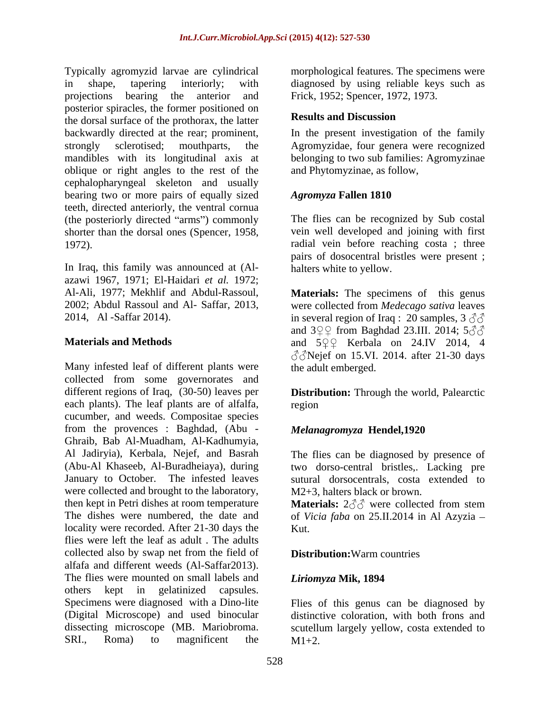Typically agromyzid larvae are cylindrical morphological features. The specimens were in shape, tapering interiorly; with diagnosed by using reliable keys such as projections bearing the anterior and Frick, 1952; Spencer, 1972, 1973.posterior spiracles, the former positioned on<br>  $\mathbf{R}$  **Results and Discussion** the dorsal surface of the prothorax, the latter backwardly directed at the rear; prominent, <br>strongly sclerotised; mouthparts, the Agromyzidae, four genera were recognized mandibles with its longitudinal axis at belonging to two sub families: Agromyzinae oblique or right angles to the rest of the cephalopharyngeal skeleton and usually bearing two or more pairs of equally sized Agromyza Fallen 1810 teeth, directed anteriorly, the ventral cornua (the posteriorly directed "arms") commonly shorter than the dorsal ones (Spencer, 1958, 1972). radial vein before reaching costa ; three

In Iraq, this family was announced at (Al azawi 1967, 1971; El-Haidari *et al*. 1972;<br>Al-Ali, 1977; Mekhlif and Abdul-Rassoul, **Materials:** The specimens of this genus

Many infested leaf of different plants were collected from some governorates and different regions of Iraq, (30-50) leaves per **Distribution:** Through the world, Palearctic each plants). The leaf plants are of alfalfa, cucumber, and weeds. Compositae species from the provences : Baghdad, (Abu - Ghraib, Bab Al-Muadham, Al-Kadhumyia, Al Jadiryia), Kerbala, Nejef, and Basrah The flies can be diagnosed by presence of (Abu-Al Khaseeb, Al-Buradheiaya), during two dorso-central bristles,. Lacking pre January to October. The infested leaves sutural dorsocentrals, costa extended to were collected and brought to the laboratory, then kept in Petri dishes at room temperature **Materials:**  $2\text{d} \text{d}$  were collected from stem The dishes were numbered, the date and of *Vicia faba* on 25.II.2014 in Al Azyzia – locality were recorded. After 21-30 days the Kut. flies were left the leaf as adult . The adults collected also by swap net from the field of alfafa and different weeds (Al-Saffar2013). The flies were mounted on small labels and *Liriomyza* Mik, 1894 others kept in gelatinized capsules. Specimens were diagnosed with a Dino-lite Flies of this genus can be diagnosed by (Digital Microscope) and used binocular distinctive coloration, with both frons and dissecting microscope (MB. Mariobroma. scutellum largely yellow, costa extended to

### **Results and Discussion**

In the present investigation of the family Agromyzidae, four genera were recognized and Phytomyzinae, as follow,

## *Agromyza* **Fallen 1810**

The flies can be recognized by Sub costal vein well developed and joining with first pairs of dosocentral bristles were present ; halters white to yellow.

2002; Abdul Rassoul and Al- Saffar, 2013, were collected from *Medecago sativa* leaves 2014, Al-Saffar 2014). in several region of Iraq : 20 samples, 3  $\Im$ **Materials and Methods and**  $5QQ$  **Kerbala on 24.IV 2014, 4 Materials:** The specimens of this genus and  $3\sqrt{2}$  from Baghdad 23.III. 2014;  $5\sqrt{3}$  $\textcircled{3}$ Nejef on 15.VI. 2014. after 21-30 days the adult emberged.

region **the contract of the contract of the contract of the contract of the contract of the contract of the contract of the contract of the contract of the contract of the contract of the contract of the contract of the co** 

## *Melanagromyza* **Hendel,1920**

M2+3, halters black or brown.

Kut.

## **Distribution:**Warm countries

### *Liriomyza* **Mik, 1894**

 $SRI$ ., Roma) to magnificent the  $M1+2$ .  $M1+2$ .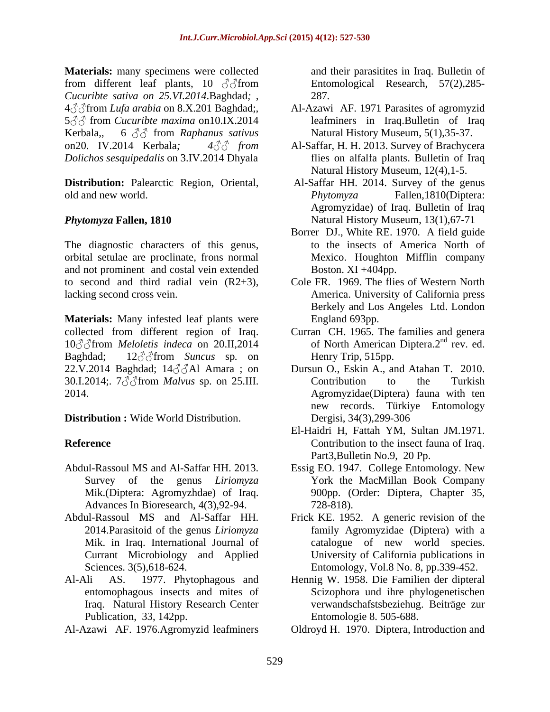**Materials:** many specimens were collected and their parasitites in Iraq. Bulletin of from different leaf plants, 10  $\partial$  from *Cucuribte sativa on 25.VI.2014*.Baghdad*;* , 4 <sup>∂</sup> Afrom *Lufa arabia* on 8.X.201 Baghdad;, Al-Azawi AF. 1971 Parasites of agromyzid 5  $\beta$  from *Cucuribte maxima* on 10.IX.2014 **Kerbala, 6**  $\partial$  **from** *Raphanus sativus* Natural History Museum, 5(1), 35-37. on20. IV.2014 Kerbala*; 4 from* Al-Saffar, H. H. 2013. Survey of Brachycera *Dolichos sesquipedalis* on 3.IV.2014 Dhyala

**Distribution:** Palearctic Region, Oriental, old and new world. *Phytomyza* Fallen, 1810(Diptera:

The diagnostic characters of this genus, orbital setulae are proclinate, frons normal and not prominent and costal vein extended

**Materials:** Many infested leaf plants were collected from different region of Iraq. Curran CH. 1965. The families and genera 10  $\textcircled{3}$  from *Meloletis indeca* on 20.II, 2014 Baghdad; 12 from *Suncus* sp*.* on 22.V.2014 Baghdad;  $14\text{A}$ Al Amara; on 30.I.2014;  $7\text{ and }3\text{ of }7\text{ from }$  *Malvus* sp. on 25.III. Contribution to the Turkish

**Distribution :** Wide World Distribution.

- Advances In Bioresearch, 4(3), 92-94. 728-818).
- 2014.Parasitoid of the genus *Liriomyza*
- Al-Ali AS. 1977. Phytophagous and Hennig W. 1958. Die Familien der dipteral Iraq. Natural History Research Center Publication, 33, 142pp.
- Al-Azawi AF. 1976.Agromyzid leafminers

Entomological Research, 57(2),285- 287*.*

- leafminers in Iraq.Bulletin of Iraq Natural History Museum, 5(1),35-37.
- flies on alfalfa plants. Bulletin of Iraq Natural History Museum, 12(4),1-5.
- *Phytomyza* **Fallen, 1810** Natural History Museum, 13(1),67-71 Al-Saffar HH. 2014. Survey of the genus *Phytomyza* Fallen,1810(Diptera: Agromyzidae) of Iraq. Bulletin of Iraq
	- Borrer DJ., White RE. 1970. A field guide to the insects of America North of Mexico. Houghton Mifflin company Boston.  $XI +404$ pp.
- to second and third radial vein (R2+3), Cole FR. 1969. The flies of Western North lacking second cross vein. America. University of California press Berkely and Los Angeles Ltd. London England 693pp.
	- of North American Diptera.2<sup>nd</sup> rev. ed.  $\frac{1}{\sqrt{2}}$  nd  $\frac{1}{\sqrt{2}}$ rev. ed. Henry Trip, 515pp.
- 2014. Agromyzidae(Diptera) fauna with ten Dursun O., Eskin A., and Atahan T. 2010. Contribution to the Turkish new records. Türkiye Entomology Dergisi, 34(3),299-306
- **Reference Contribution to the insect fauna of Iraq.** El-Haidri H, Fattah YM, Sultan JM.1971. Part3,Bulletin No.9, 20 Pp.
- Abdul-Rassoul MS and Al-Saffar HH. 2013. Essig EO. 1947. College Entomology. New Survey of the genus *Liriomyza* York the MacMillan Book Company Mik.(Diptera: Agromyzhdae) of Iraq. 900pp. (Order: Diptera, Chapter 35, 728-818).
- Abdul-Rassoul MS and Al-Saffar HH. Frick KE. 1952. A generic revision of the Mik. in Iraq. International Journal of catalogue of new world species. Currant Microbiology and Applied University of California publications in Sciences. 3(5),618-624. Entomology, Vol.8 No. 8, pp.339-452. family Agromyzidae (Diptera) with a
	- entomophagous insects and mites of Scizophora und ihre phylogenetischen verwandschafstsbeziehug. Beiträge zur Entomologie 8. 505-688.
		- Oldroyd H. 1970. Diptera, Introduction and